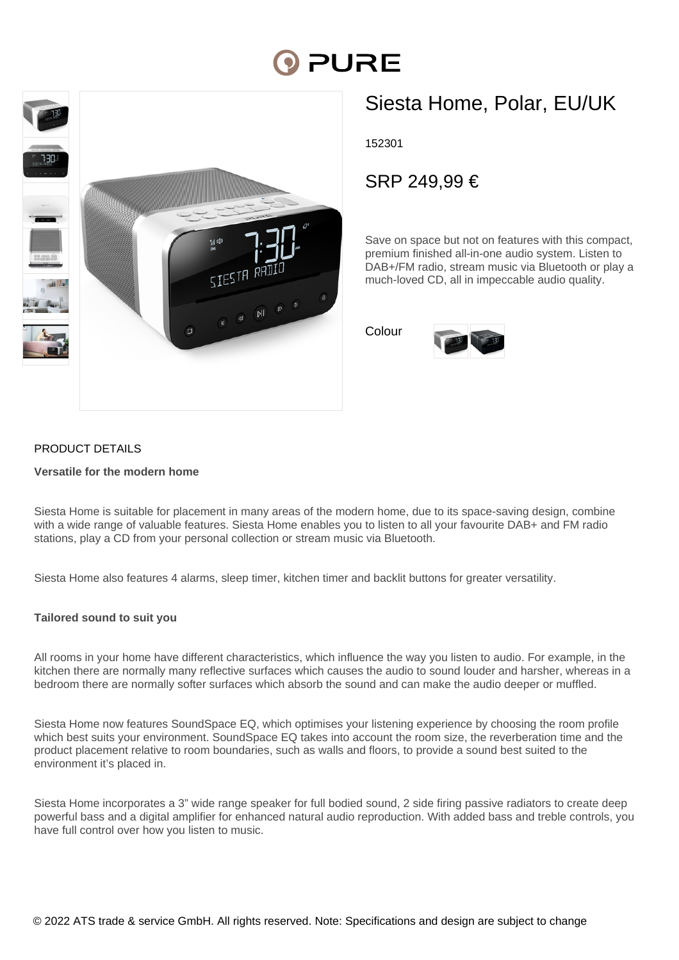# **PURE**



## Siesta Home, Polar, EU/UK

152301

### SRP 249,99 €

Save on space but not on features with this compact, premium finished all-in-one audio system. Listen to DAB+/FM radio, stream music via Bluetooth or play a much-loved CD, all in impeccable audio quality.

Colour



#### PRODUCT DETAILS

#### **Versatile for the modern home**

Siesta Home is suitable for placement in many areas of the modern home, due to its space-saving design, combine with a wide range of valuable features. Siesta Home enables you to listen to all your favourite DAB+ and FM radio stations, play a CD from your personal collection or stream music via Bluetooth.

Siesta Home also features 4 alarms, sleep timer, kitchen timer and backlit buttons for greater versatility.

#### **Tailored sound to suit you**

All rooms in your home have different characteristics, which influence the way you listen to audio. For example, in the kitchen there are normally many reflective surfaces which causes the audio to sound louder and harsher, whereas in a bedroom there are normally softer surfaces which absorb the sound and can make the audio deeper or muffled.

Siesta Home now features SoundSpace EQ, which optimises your listening experience by choosing the room profile which best suits your environment. SoundSpace EQ takes into account the room size, the reverberation time and the product placement relative to room boundaries, such as walls and floors, to provide a sound best suited to the environment it's placed in.

Siesta Home incorporates a 3" wide range speaker for full bodied sound, 2 side firing passive radiators to create deep powerful bass and a digital amplifier for enhanced natural audio reproduction. With added bass and treble controls, you have full control over how you listen to music.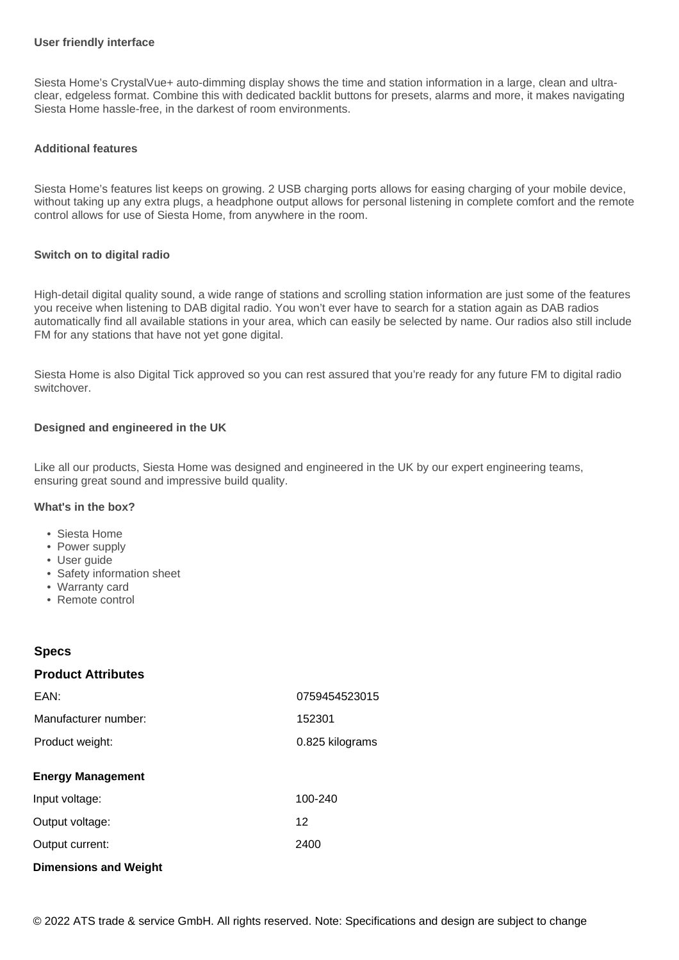#### **User friendly interface**

Siesta Home's CrystalVue+ auto-dimming display shows the time and station information in a large, clean and ultraclear, edgeless format. Combine this with dedicated backlit buttons for presets, alarms and more, it makes navigating Siesta Home hassle-free, in the darkest of room environments.

#### **Additional features**

Siesta Home's features list keeps on growing. 2 USB charging ports allows for easing charging of your mobile device, without taking up any extra plugs, a headphone output allows for personal listening in complete comfort and the remote control allows for use of Siesta Home, from anywhere in the room.

#### **Switch on to digital radio**

High-detail digital quality sound, a wide range of stations and scrolling station information are just some of the features you receive when listening to DAB digital radio. You won't ever have to search for a station again as DAB radios automatically find all available stations in your area, which can easily be selected by name. Our radios also still include FM for any stations that have not yet gone digital.

Siesta Home is also Digital Tick approved so you can rest assured that you're ready for any future FM to digital radio switchover.

#### **Designed and engineered in the UK**

Like all our products, Siesta Home was designed and engineered in the UK by our expert engineering teams, ensuring great sound and impressive build quality.

#### **What's in the box?**

- Siesta Home
- Power supply
- User guide
- Safety information sheet
- Warranty card
- Remote control

#### **Specs**

#### **Product Attributes**

| EAN:                         | 0759454523015   |
|------------------------------|-----------------|
| Manufacturer number:         | 152301          |
| Product weight:              | 0.825 kilograms |
| <b>Energy Management</b>     |                 |
| Input voltage:               | 100-240         |
| Output voltage:              | 12              |
| Output current:              | 2400            |
| <b>Dimensions and Weight</b> |                 |